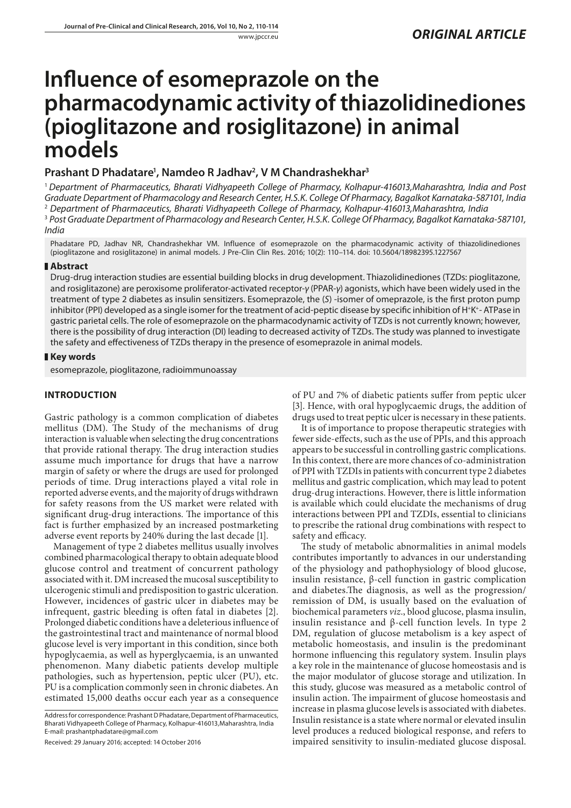# **Influence of esomeprazole on the pharmacodynamic activity of thiazolidinediones (pioglitazone and rosiglitazone) in animal models**

## **Prashant D Phadatare1 , Namdeo R Jadhav2 , V M Chandrashekhar3**

<sup>1</sup> *Department of Pharmaceutics, Bharati Vidhyapeeth College of Pharmacy, Kolhapur-416013,Maharashtra, India and Post Graduate Department of Pharmacology and Research Center, H.S.K. College Of Pharmacy, Bagalkot Karnataka-587101, India* 2  *Department of Pharmaceutics, Bharati Vidhyapeeth College of Pharmacy, Kolhapur-416013,Maharashtra, India* <sup>3</sup> Post Graduate Department of Pharmacology and Research Center, H.S.K. College Of Pharmacy, Bagalkot Karnataka-587101,

*India*

Phadatare PD, Jadhav NR, Chandrashekhar VM. Influence of esomeprazole on the pharmacodynamic activity of thiazolidinediones (pioglitazone and rosiglitazone) in animal models. J Pre-Clin Clin Res. 2016; 10(2): 110–114. doi: 10.5604/18982395.1227567

## **Abstract**

Drug-drug interaction studies are essential building blocks in drug development. Thiazolidinediones (TZDs: pioglitazone, and rosiglitazone) are peroxisome proliferator-activated receptor-*γ* (PPAR-*γ*) agonists, which have been widely used in the treatment of type 2 diabetes as insulin sensitizers. Esomeprazole, the (*S*) -isomer of omeprazole, is the first proton pump inhibitor (PPI) developed as a single isomer for the treatment of acid-peptic disease by specific inhibition of H<sup>+</sup>K<sup>+</sup>- ATPase in gastric parietal cells. The role of esomeprazole on the pharmacodynamic activity of TZDs is not currently known; however, there is the possibility of drug interaction (DI) leading to decreased activity of TZDs. The study was planned to investigate the safety and effectiveness of TZDs therapy in the presence of esomeprazole in animal models.

## **Key words**

esomeprazole, pioglitazone, radioimmunoassay

## **INTRODUCTION**

Gastric pathology is a common complication of diabetes mellitus (DM). The Study of the mechanisms of drug interaction is valuable when selecting the drug concentrations that provide rational therapy. The drug interaction studies assume much importance for drugs that have a narrow margin of safety or where the drugs are used for prolonged periods of time. Drug interactions played a vital role in reported adverse events, and the majority of drugs withdrawn for safety reasons from the US market were related with significant drug-drug interactions. The importance of this fact is further emphasized by an increased postmarketing adverse event reports by 240% during the last decade [1].

Management of type 2 diabetes mellitus usually involves combined pharmacological therapy to obtain adequate blood glucose control and treatment of concurrent pathology associated with it. DM increased the mucosal susceptibility to ulcerogenic stimuli and predisposition to gastric ulceration. However, incidences of gastric ulcer in diabetes may be infrequent, gastric bleeding is often fatal in diabetes [2]. Prolonged diabetic conditions have a deleterious influence of the gastrointestinal tract and maintenance of normal blood glucose level is very important in this condition, since both hypoglycaemia, as well as hyperglycaemia, is an unwanted phenomenon. Many diabetic patients develop multiple pathologies, such as hypertension, peptic ulcer (PU), etc. PU is a complication commonly seen in chronic diabetes. An estimated 15,000 deaths occur each year as a consequence

Received: 29 January 2016; accepted: 14 October 2016

of PU and 7% of diabetic patients suffer from peptic ulcer [3]. Hence, with oral hypoglycaemic drugs, the addition of drugs used to treat peptic ulcer is necessary in these patients.

It is of importance to propose therapeutic strategies with fewer side-effects, such as the use of PPIs, and this approach appears to be successful in controlling gastric complications. In this context, there are more chances of co-administration of PPI with TZDIs in patients with concurrent type 2 diabetes mellitus and gastric complication, which may lead to potent drug-drug interactions. However, there is little information is available which could elucidate the mechanisms of drug interactions between PPI and TZDIs, essential to clinicians to prescribe the rational drug combinations with respect to safety and efficacy.

The study of metabolic abnormalities in animal models contributes importantly to advances in our understanding of the physiology and pathophysiology of blood glucose, insulin resistance, β-cell function in gastric complication and diabetes.The diagnosis, as well as the progression/ remission of DM, is usually based on the evaluation of biochemical parameters *viz*., blood glucose, plasma insulin, insulin resistance and  $β$ -cell function levels. In type 2 DM, regulation of glucose metabolism is a key aspect of metabolic homeostasis, and insulin is the predominant hormone influencing this regulatory system. Insulin plays a key role in the maintenance of glucose homeostasis and is the major modulator of glucose storage and utilization. In this study, glucose was measured as a metabolic control of insulin action. The impairment of glucose homeostasis and increase in plasma glucose levels is associated with diabetes. Insulin resistance is a state where normal or elevated insulin level produces a reduced biological response, and refers to impaired sensitivity to insulin-mediated glucose disposal.

Address for correspondence: Prashant D Phadatare, Department of Pharmaceutics, Bharati Vidhyapeeth College of Pharmacy, Kolhapur-416013,Maharashtra, India E-mail: prashantphadatare@gmail.com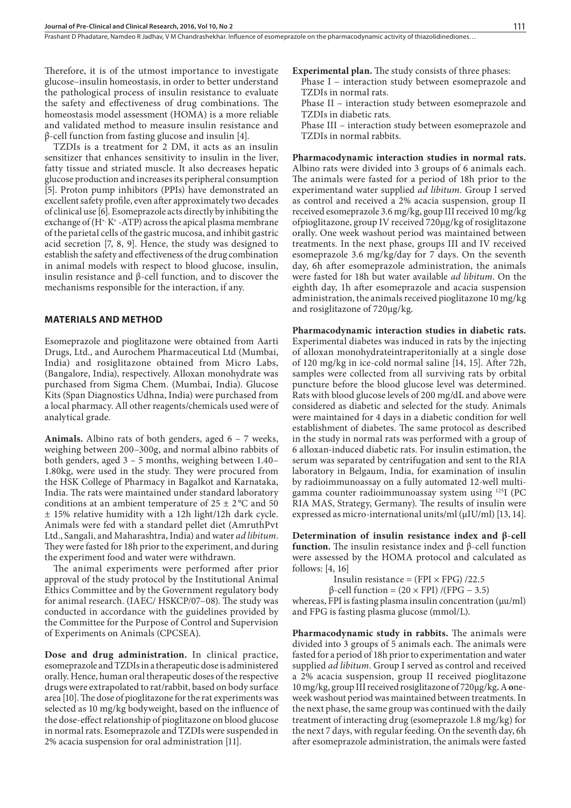Prashant D Phadatare, Namdeo R Jadhav, V M Chandrashekhar. Influence of esomeprazole on the pharmacodynamic activity of thiazolidinediones...

Therefore, it is of the utmost importance to investigate glucose–insulin homeostasis, in order to better understand the pathological process of insulin resistance to evaluate the safety and effectiveness of drug combinations. The homeostasis model assessment (HOMA) is a more reliable and validated method to measure insulin resistance and β-cell function from fasting glucose and insulin [4].

TZDIs is a treatment for 2 DM, it acts as an insulin sensitizer that enhances sensitivity to insulin in the liver, fatty tissue and striated muscle. It also decreases hepatic glucose production and increases its peripheral consumption [5]. Proton pump inhibitors (PPIs) have demonstrated an excellent safety profile, even after approximately two decades of clinical use [6]. Esomeprazole acts directly by inhibiting the exchange of  $(H^*, K^*$  -ATP) across the apical plasma membrane of the parietal cells of the gastric mucosa, and inhibit gastric acid secretion [7, 8, 9]. Hence, the study was designed to establish the safety and effectiveness of the drug combination in animal models with respect to blood glucose, insulin, insulin resistance and β-cell function, and to discover the mechanisms responsible for the interaction, if any.

## **MATERIALS AND METHOD**

Esomeprazole and pioglitazone were obtained from Aarti Drugs, Ltd., and Aurochem Pharmaceutical Ltd (Mumbai, India) and rosiglitazone obtained from Micro Labs, (Bangalore, India), respectively. Alloxan monohydrate was purchased from Sigma Chem. (Mumbai, India). Glucose Kits (Span Diagnostics Udhna, India) were purchased from a local pharmacy. All other reagents/chemicals used were of analytical grade.

**Animals.** Albino rats of both genders, aged 6 – 7 weeks, weighing between 200–300g, and normal albino rabbits of both genders, aged 3 – 5 months, weighing between 1.40– 1.80kg, were used in the study. They were procured from the HSK College of Pharmacy in Bagalkot and Karnataka, India. The rats were maintained under standard laboratory conditions at an ambient temperature of  $25 \pm 2$  °C and 50 ± 15% relative humidity with a 12h light/12h dark cycle. Animals were fed with a standard pellet diet (AmruthPvt Ltd., Sangali, and Maharashtra, India) and water *ad libitum*. They were fasted for 18h prior to the experiment, and during the experiment food and water were withdrawn.

The animal experiments were performed after prior approval of the study protocol by the Institutional Animal Ethics Committee and by the Government regulatory body for animal research. (IAEC/ HSKCP/07–08). The study was conducted in accordance with the guidelines provided by the Committee for the Purpose of Control and Supervision of Experiments on Animals (CPCSEA).

**Dose and drug administration.** In clinical practice, esomeprazole and TZDIs in a therapeutic dose is administered orally. Hence, human oral therapeutic doses of the respective drugs were extrapolated to rat/rabbit, based on body surface area [10]. The dose of pioglitazone for the rat experiments was selected as 10 mg/kg bodyweight, based on the influence of the dose-effect relationship of pioglitazone on blood glucose in normal rats. Esomeprazole and TZDIs were suspended in 2% acacia suspension for oral administration [11].

**Experimental plan.** The study consists of three phases: Phase I – interaction study between esomeprazole and TZDIs in normal rats.

Phase II – interaction study between esomeprazole and TZDIs in diabetic rats.

Phase III – interaction study between esomeprazole and TZDIs in normal rabbits.

**Pharmacodynamic interaction studies in normal rats.**  Albino rats were divided into 3 groups of 6 animals each. The animals were fasted for a period of 18h prior to the experimentand water supplied *ad libitum.* Group I served as control and received a 2% acacia suspension, group II received esomeprazole 3.6 mg/kg, goup III received 10 mg/kg ofpioglitazone, group IV received 720µg/kg of rosiglitazone orally. One week washout period was maintained between treatments. In the next phase, groups III and IV received esomeprazole 3.6 mg/kg/day for 7 days. On the seventh day, 6h after esomeprazole administration, the animals were fasted for 18h but water available *ad libitum*. On the eighth day, 1h after esomeprazole and acacia suspension administration, the animals received pioglitazone 10 mg/kg and rosiglitazone of 720µg/kg.

**Pharmacodynamic interaction studies in diabetic rats.**  Experimental diabetes was induced in rats by the injecting of alloxan monohydrateintraperitonially at a single dose of 120 mg/kg in ice-cold normal saline [14, 15]. After 72h, samples were collected from all surviving rats by orbital puncture before the blood glucose level was determined. Rats with blood glucose levels of 200 mg/dL and above were considered as diabetic and selected for the study. Animals were maintained for 4 days in a diabetic condition for well establishment of diabetes. The same protocol as described in the study in normal rats was performed with a group of 6 alloxan-induced diabetic rats. For insulin estimation, the serum was separated by centrifugation and sent to the RIA laboratory in Belgaum, India, for examination of insulin by radioimmunoassay on a fully automated 12-well multigamma counter radioimmunoassay system using 125I (PC RIA MAS, Strategy, Germany). The results of insulin were expressed as micro-international units/ml (µIU/ml) [13, 14].

**Determination of insulin resistance index and β-cell function.** The insulin resistance index and β-cell function were assessed by the HOMA protocol and calculated as follows: [4, 16]

Insulin resistance = (FPI  $\times$  FPG) /22.5 β-cell function = (20 × FPI) /(FPG − 3.5)

whereas, FPI is fasting plasma insulin concentration (μu/ml) and FPG is fasting plasma glucose (mmol/L).

**Pharmacodynamic study in rabbits.** The animals were divided into 3 groups of 5 animals each. The animals were fasted for a period of 18h prior to experimentation and water supplied *ad libitum*. Group I served as control and received a 2% acacia suspension, group II received pioglitazone 10 mg/kg, group III received rosiglitazone of 720µg/kg**.** A **o**neweek washout period was maintained between treatments. In the next phase, the same group was continued with the daily treatment of interacting drug (esomeprazole 1.8 mg/kg) for the next 7 days, with regular feeding. On the seventh day, 6h after esomeprazole administration, the animals were fasted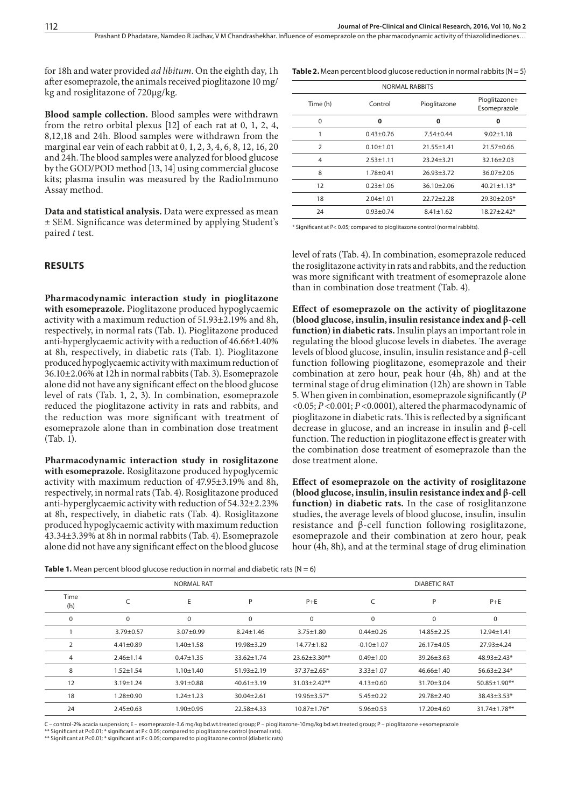Prashant D Phadatare, Namdeo R Jadhav, V M Chandrashekhar, Influence of esomeprazole on the pharmacodynamic activity of thiazolidinediones...

for 18h and water provided *ad libitum*. On the eighth day, 1h after esomeprazole, the animals received pioglitazone 10 mg/ kg and rosiglitazone of 720µg/kg.

**Blood sample collection.** Blood samples were withdrawn from the retro orbital plexus [12] of each rat at 0, 1, 2, 4, 8,12,18 and 24h. Blood samples were withdrawn from the marginal ear vein of each rabbit at 0, 1, 2, 3, 4, 6, 8, 12, 16, 20 and 24h. The blood samples were analyzed for blood glucose by the GOD/POD method [13, 14] using commercial glucose kits; plasma insulin was measured by the RadioImmuno Assay method.

**Data and statistical analysis.** Data were expressed as mean ± SEM. Significance was determined by applying Student's paired *t* test.

### **RESULTS**

**Pharmacodynamic interaction study in pioglitazone with esomeprazole.** Pioglitazone produced hypoglycaemic activity with a maximum reduction of 51.93±2.19% and 8h, respectively, in normal rats (Tab. 1). Pioglitazone produced anti-hyperglycaemic activity with a reduction of 46.66±1.40% at 8h, respectively, in diabetic rats (Tab. 1). Pioglitazone produced hypoglycaemic activity with maximum reduction of 36.10±2.06% at 12h in normal rabbits (Tab. 3). Esomeprazole alone did not have any significant effect on the blood glucose level of rats (Tab. 1, 2, 3). In combination, esomeprazole reduced the pioglitazone activity in rats and rabbits, and the reduction was more significant with treatment of esomeprazole alone than in combination dose treatment (Tab. 1).

**Pharmacodynamic interaction study in rosiglitazone with esomeprazole.** Rosiglitazone produced hypoglycemic activity with maximum reduction of 47.95±3.19% and 8h, respectively, in normal rats (Tab. 4). Rosiglitazone produced anti-hyperglycaemic activity with reduction of 54.32±2.23% at 8h, respectively, in diabetic rats (Tab. 4). Rosiglitazone produced hypoglycaemic activity with maximum reduction 43.34±3.39% at 8h in normal rabbits (Tab. 4). Esomeprazole alone did not have any significant effect on the blood glucose **Table 2.** Mean percent blood glucose reduction in normal rabbits ( $N = 5$ )

| <b>NORMAL RABBITS</b> |               |                  |                               |  |  |
|-----------------------|---------------|------------------|-------------------------------|--|--|
| Time (h)              | Control       | Pioglitazone     | Pioglitazone+<br>Esomeprazole |  |  |
| $\Omega$              | 0             | 0                | 0                             |  |  |
| 1                     | $0.43 + 0.76$ | $7.54 + 0.44$    | $9.02 + 1.18$                 |  |  |
| $\overline{2}$        | $0.10 + 1.01$ | $21.55 \pm 1.41$ | 21.57±0.66                    |  |  |
| 4                     | $2.53 + 1.11$ | $23.24 + 3.21$   | $32.16 + 2.03$                |  |  |
| 8                     | $1.78 + 0.41$ | $26.93 + 3.72$   | $36.07 + 2.06$                |  |  |
| 12                    | $0.23 + 1.06$ | $36.10 + 2.06$   | $40.21 \pm 1.13*$             |  |  |
| 18                    | $2.04 + 1.01$ | $22.72 + 2.28$   | 29.30±2.05*                   |  |  |
| 24                    | $0.93 + 0.74$ | $8.41 + 1.62$    | 18.27±2.42*                   |  |  |

\* Significant at P< 0.05; compared to pioglitazone control (normal rabbits).

level of rats (Tab. 4). In combination, esomeprazole reduced the rosiglitazone activity in rats and rabbits, and the reduction was more significant with treatment of esomeprazole alone than in combination dose treatment (Tab. 4).

**Effect of esomeprazole on the activity of pioglitazone (blood glucose, insulin, insulin resistance index and β-cell function) in diabetic rats.** Insulin plays an important role in regulating the blood glucose levels in diabetes. The average levels of blood glucose, insulin, insulin resistance and β-cell function following pioglitazone, esomeprazole and their combination at zero hour, peak hour (4h, 8h) and at the terminal stage of drug elimination (12h) are shown in Table 5. When given in combination, esomeprazole significantly (*P*  <0.05; *P* <0.001; *P* <0.0001), altered the pharmacodynamic of pioglitazone in diabetic rats. This is reflected by a significant decrease in glucose, and an increase in insulin and β-cell function. The reduction in pioglitazone effect is greater with the combination dose treatment of esomeprazole than the dose treatment alone.

**Effect of esomeprazole on the activity of rosiglitazone (blood glucose, insulin, insulin resistance index and β-cell function) in diabetic rats.** In the case of rosiglitanzone studies, the average levels of blood glucose, insulin, insulin resistance and β-cell function following rosiglitazone, esomeprazole and their combination at zero hour, peak hour (4h, 8h), and at the terminal stage of drug elimination

| <b>Table 1.</b> Mean percent blood glucose reduction in normal and diabetic rats ( $N = 6$ ) |  |
|----------------------------------------------------------------------------------------------|--|
|----------------------------------------------------------------------------------------------|--|

| <b>NORMAL RAT</b> |                 |                 |                  | <b>DIABETIC RAT</b> |                  |                  |                    |
|-------------------|-----------------|-----------------|------------------|---------------------|------------------|------------------|--------------------|
| Time<br>(h)       |                 | E               | P                | $P+E$               |                  | P                | $P + E$            |
| $\mathbf 0$       | 0               | $\mathbf 0$     | 0                | $\mathbf 0$         | 0                | $\mathbf 0$      | 0                  |
|                   | $3.79 \pm 0.57$ | $3.07 \pm 0.99$ | $8.24 \pm 1.46$  | $3.75 \pm 1.80$     | $0.44 \pm 0.26$  | $14.85 \pm 2.25$ | $12.94 \pm 1.41$   |
| 2                 | $4.41 \pm 0.89$ | $1.40 \pm 1.58$ | 19.98±3.29       | $14.77 \pm 1.82$    | $-0.10 \pm 1.07$ | 26.17±4.05       | 27.93±4.24         |
| 4                 | $2.46 \pm 1.14$ | $0.47 + 1.35$   | 33.62±1.74       | $23.62 \pm 3.30**$  | $0.49 \pm 1.00$  | $39.26 \pm 3.63$ | $48.93 \pm 2.43*$  |
| 8                 | $1.52 + 1.54$   | $1.10 \pm 1.40$ | $51.93 \pm 2.19$ | $37.37 \pm 2.65*$   | $3.33 \pm 1.07$  | $46.66 \pm 1.40$ | $56.63 \pm 2.34*$  |
| 12                | $3.19 + 1.24$   | $3.91 \pm 0.88$ | $40.61 \pm 3.19$ | $31.03 + 2.42**$    | $4.13 \pm 0.60$  | 31.70±3.04       | 50.85±1.90**       |
| 18                | $1.28 \pm 0.90$ | $1.24 \pm 1.23$ | $30.04 \pm 2.61$ | 19.96±3.57*         | $5.45 \pm 0.22$  | 29.78±2.40       | $38.43 \pm 3.53^*$ |
| 24                | $2.45 \pm 0.63$ | $1.90 \pm 0.95$ | 22.58±4.33       | $10.87 \pm 1.76*$   | $5.96 \pm 0.53$  | 17.20±4.60       | 31.74±1.78**       |

C – control-2% acacia suspension; E – esomeprazole-3.6 mg/kg bd.wt.treated group; P – pioglitazone-10mg/kg bd.wt.treated group; P – pioglitazone +esomeprazole

\*\* Significant at P<0.01; \* significant at P< 0.05; compared to pioglitazone control (normal rats). \*\* Significant at P<0.01; \* significant at P< 0.05; compared to pioglitazone control (diabetic rats)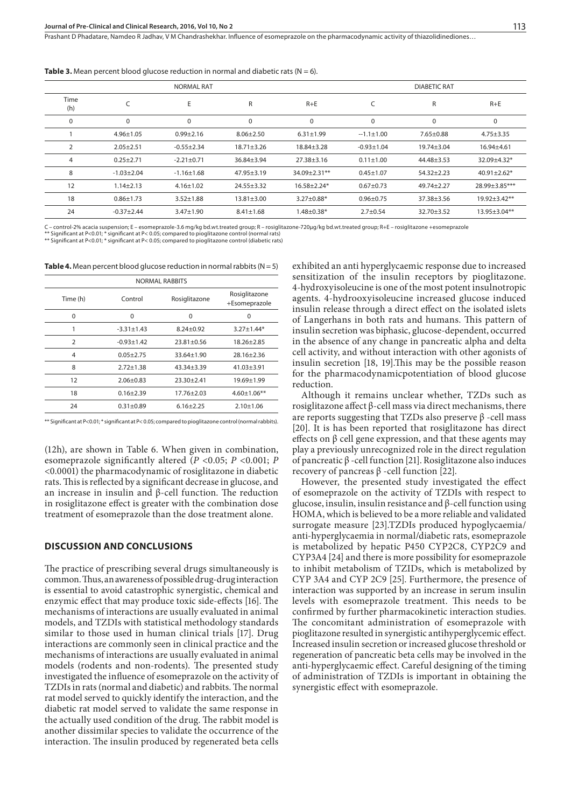Prashant D Phadatare, Namdeo R Jadhav, V M Chandrashekhar, Influence of esomeprazole on the pharmacodynamic activity of thiazolidinediones...

| <b>NORMAL RAT</b> |                 |                  |                  | <b>DIABETIC RAT</b> |                  |                 |                  |
|-------------------|-----------------|------------------|------------------|---------------------|------------------|-----------------|------------------|
| Time<br>(h)       |                 | E                | R                | $R + E$             |                  | R               | $R + E$          |
| 0                 | 0               | 0                | 0                | 0                   | 0                | $\mathbf 0$     | 0                |
|                   | $4.96 + 1.05$   | $0.99 \pm 2.16$  | $8.06 \pm 2.50$  | $6.31 \pm 1.99$     | $-1.1 \pm 1.00$  | $7.65 \pm 0.88$ | $4.75 \pm 3.35$  |
| 2                 | $2.05 + 2.51$   | $-0.55 \pm 2.34$ | $18.71 \pm 3.26$ | 18.84±3.28          | $-0.93 \pm 1.04$ | $19.74 + 3.04$  | 16.94±4.61       |
| 4                 | $0.25 \pm 2.71$ | $-2.21 \pm 0.71$ | 36.84±3.94       | 27.38±3.16          | $0.11 \pm 1.00$  | 44.48±3.53      | $32.09 + 4.32*$  |
| 8                 | $-1.03 + 2.04$  | $-1.16 \pm 1.68$ | $47.95 \pm 3.19$ | $34.09 + 2.31**$    | $0.45 + 1.07$    | $54.32 + 2.23$  | $40.91 + 2.62*$  |
| 12                | $1.14 \pm 2.13$ | $4.16 \pm 1.02$  | $24.55 \pm 3.32$ | $16.58 \pm 2.24*$   | $0.67 + 0.73$    | 49.74±2.27      | 28.99±3.85***    |
| 18                | $0.86 + 1.73$   | $3.52 \pm 1.88$  | $13.81 \pm 3.00$ | $3.27 \pm 0.88*$    | $0.96 + 0.75$    | 37.38±3.56      | $19.92 + 3.42**$ |
| 24                | $-0.37 + 2.44$  | $3.47 \pm 1.90$  | $8.41 \pm 1.68$  | $1.48 \pm 0.38*$    | $2.7 \pm 0.54$   | 32.70±3.52      | 13.95±3.04**     |

**Table 3.** Mean percent blood glucose reduction in normal and diabetic rats ( $N = 6$ ).

C – control-2% acacia suspension; E – esomeprazole-3.6 mg/kg bd.wt.treated group; R – rosiglitazone-720µg/kg bd.wt.treated group; R+E – rosiglitazone +esomeprazole<br>\*\* Significant at P<0.01; \* significant at P< 0.05; compar

\*\* Significant at P<0.01; \* significant at P< 0.05; compared to pioglitazone control (diabetic rats)

**Table 4.** Mean percent blood glucose reduction in normal rabbits  $(N = 5)$ 

| <b>NORMAL RABBITS</b> |                 |                |                    |  |  |
|-----------------------|-----------------|----------------|--------------------|--|--|
| Time (h)              | Control         | Rosiglitazone  |                    |  |  |
| O                     | 0               | 0              | O                  |  |  |
|                       | $-3.31 + 1.43$  | $8.24 + 0.92$  | $3.27 + 1.44*$     |  |  |
| $\mathcal{P}$         | $-0.93 + 1.42$  | $23.81 + 0.56$ | $18.26 + 2.85$     |  |  |
| 4                     | $0.05 + 2.75$   | $33.64 + 1.90$ | $28.16 + 2.36$     |  |  |
| 8                     | $2.72 + 1.38$   | $43.34 + 3.39$ | $41.03 + 3.91$     |  |  |
| 12                    | $2.06 + 0.83$   | $23.30 + 2.41$ | $19.69 + 1.99$     |  |  |
| 18                    | $0.16 \pm 2.39$ | $17.76 + 2.03$ | $4.60 \pm 1.06$ ** |  |  |
| 24                    | $0.31 + 0.89$   | $6.16 + 2.25$  | $2.10 + 1.06$      |  |  |
|                       |                 |                |                    |  |  |

\*\* Significant at P<0.01; \* significant at P< 0.05; compared to pioglitazone control (normal rabbits).

(12h), are shown in Table 6. When given in combination, esomeprazole significantly altered (*P* <0.05; *P* <0.001; *P*  <0.0001) the pharmacodynamic of rosiglitazone in diabetic rats. This is reflected by a significant decrease in glucose, and an increase in insulin and β-cell function. The reduction in rosiglitazone effect is greater with the combination dose treatment of esomeprazole than the dose treatment alone.

#### **DISCUSSION AND CONCLUSIONS**

The practice of prescribing several drugs simultaneously is common. Thus, an awareness of possible drug-drug interaction is essential to avoid catastrophic synergistic, chemical and enzymic effect that may produce toxic side-effects [16]. The mechanisms of interactions are usually evaluated in animal models, and TZDIs with statistical methodology standards similar to those used in human clinical trials [17]. Drug interactions are commonly seen in clinical practice and the mechanisms of interactions are usually evaluated in animal models (rodents and non-rodents). The presented study investigated the influence of esomeprazole on the activity of TZDIs in rats (normal and diabetic) and rabbits. The normal rat model served to quickly identify the interaction, and the diabetic rat model served to validate the same response in the actually used condition of the drug. The rabbit model is another dissimilar species to validate the occurrence of the interaction. The insulin produced by regenerated beta cells

exhibited an anti hyperglycaemic response due to increased sensitization of the insulin receptors by pioglitazone. 4-hydroxyisoleucine is one of the most potent insulnotropic agents. 4-hydrooxyisoleucine increased glucose induced insulin release through a direct effect on the isolated islets of Langerhans in both rats and humans. This pattern of insulin secretion was biphasic, glucose-dependent, occurred in the absence of any change in pancreatic alpha and delta cell activity, and without interaction with other agonists of insulin secretion [18, 19].This may be the possible reason for the pharmacodynamicpotentiation of blood glucose reduction.

Although it remains unclear whether, TZDs such as rosiglitazone affect β-cell mass via direct mechanisms, there are reports suggesting that TZDs also preserve β -cell mass [20]. It is has been reported that rosiglitazone has direct effects on β cell gene expression, and that these agents may play a previously unrecognized role in the direct regulation of pancreatic β -cell function [21]. Rosiglitazone also induces recovery of pancreas  $β$  -cell function [22].

However, the presented study investigated the effect of esomeprazole on the activity of TZDIs with respect to glucose, insulin, insulin resistance and β-cell function using HOMA, which is believed to be a more reliable and validated surrogate measure [23].TZDIs produced hypoglycaemia/ anti-hyperglycaemia in normal/diabetic rats, esomeprazole is metabolized by hepatic P450 CYP2C8, CYP2C9 and CYP3A4 [24] and there is more possibility for esomeprazole to inhibit metabolism of TZIDs, which is metabolized by CYP 3A4 and CYP 2C9 [25]. Furthermore, the presence of interaction was supported by an increase in serum insulin levels with esomeprazole treatment. This needs to be confirmed by further pharmacokinetic interaction studies. The concomitant administration of esomeprazole with pioglitazone resulted in synergistic antihyperglycemic effect. Increased insulin secretion or increased glucose threshold or regeneration of pancreatic beta cells may be involved in the anti-hyperglycaemic effect. Careful designing of the timing of administration of TZDIs is important in obtaining the synergistic effect with esomeprazole.